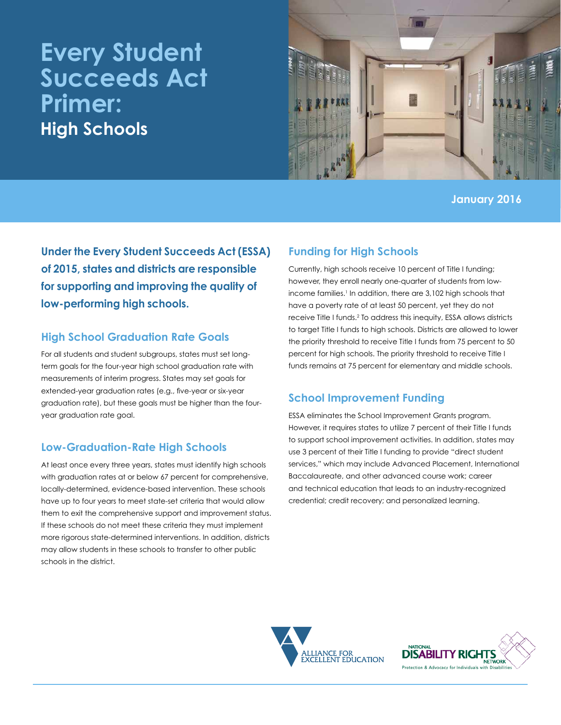# **Every Student Succeeds Act Primer: High Schools**



**January 2016**

**Under the Every Student Succeeds Act (ESSA) of 2015, states and districts are responsible for supporting and improving the quality of low-performing high schools.**

### **High School Graduation Rate Goals**

For all students and student subgroups, states must set longterm goals for the four-year high school graduation rate with measurements of interim progress. States may set goals for extended-year graduation rates (e.g., five-year or six-year graduation rate), but these goals must be higher than the fouryear graduation rate goal.

## **Low-Graduation-Rate High Schools**

At least once every three years, states must identify high schools with graduation rates at or below 67 percent for comprehensive, locally-determined, evidence-based intervention. These schools have up to four years to meet state-set criteria that would allow them to exit the comprehensive support and improvement status. If these schools do not meet these criteria they must implement more rigorous state-determined interventions. In addition, districts may allow students in these schools to transfer to other public schools in the district.

# **Funding for High Schools**

Currently, high schools receive 10 percent of Title I funding; however, they enroll nearly one-quarter of students from lowincome families.<sup>1</sup> In addition, there are 3,102 high schools that have a poverty rate of at least 50 percent, yet they do not receive Title I funds.<sup>2</sup> To address this inequity, ESSA allows districts to target Title I funds to high schools. Districts are allowed to lower the priority threshold to receive Title I funds from 75 percent to 50 percent for high schools. The priority threshold to receive Title I funds remains at 75 percent for elementary and middle schools.

# **School Improvement Funding**

ESSA eliminates the School Improvement Grants program. However, it requires states to utilize 7 percent of their Title I funds to support school improvement activities. In addition, states may use 3 percent of their Title I funding to provide "direct student services," which may include Advanced Placement, International Baccalaureate, and other advanced course work; career and technical education that leads to an industry-recognized credential; credit recovery; and personalized learning.